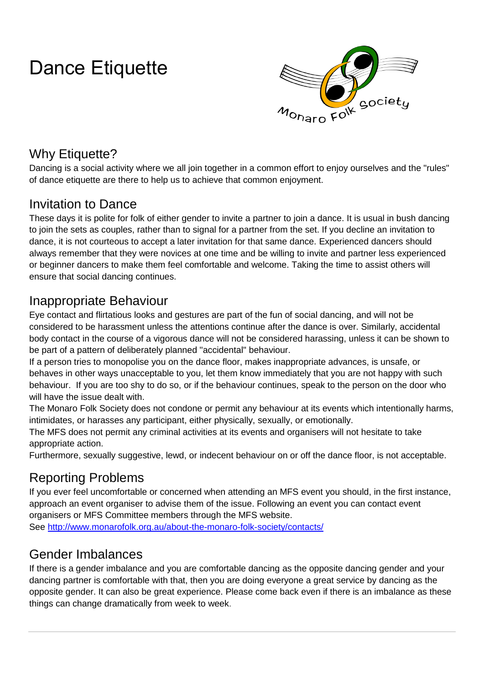# Dance Etiquette



# Why Etiquette?

Dancing is a social activity where we all join together in a common effort to enjoy ourselves and the "rules" of dance etiquette are there to help us to achieve that common enjoyment.

#### Invitation to Dance

These days it is polite for folk of either gender to invite a partner to join a dance. It is usual in bush dancing to join the sets as couples, rather than to signal for a partner from the set. If you decline an invitation to dance, it is not courteous to accept a later invitation for that same dance. Experienced dancers should always remember that they were novices at one time and be willing to invite and partner less experienced or beginner dancers to make them feel comfortable and welcome. Taking the time to assist others will ensure that social dancing continues.

#### Inappropriate Behaviour

Eye contact and flirtatious looks and gestures are part of the fun of social dancing, and will not be considered to be harassment unless the attentions continue after the dance is over. Similarly, accidental body contact in the course of a vigorous dance will not be considered harassing, unless it can be shown to be part of a pattern of deliberately planned "accidental" behaviour.

If a person tries to monopolise you on the dance floor, makes inappropriate advances, is unsafe, or behaves in other ways unacceptable to you, let them know immediately that you are not happy with such behaviour. If you are too shy to do so, or if the behaviour continues, speak to the person on the door who will have the issue dealt with.

The Monaro Folk Society does not condone or permit any behaviour at its events which intentionally harms, intimidates, or harasses any participant, either physically, sexually, or emotionally.

The MFS does not permit any criminal activities at its events and organisers will not hesitate to take appropriate action.

Furthermore, sexually suggestive, lewd, or indecent behaviour on or off the dance floor, is not acceptable.

#### Reporting Problems

If you ever feel uncomfortable or concerned when attending an MFS event you should, in the first instance, approach an event organiser to advise them of the issue. Following an event you can contact event organisers or MFS Committee members through the MFS website.

See<http://www.monarofolk.org.au/about-the-monaro-folk-society/contacts/>

#### Gender Imbalances

If there is a gender imbalance and you are comfortable dancing as the opposite dancing gender and your dancing partner is comfortable with that, then you are doing everyone a great service by dancing as the opposite gender. It can also be great experience. Please come back even if there is an imbalance as these things can change dramatically from week to week.